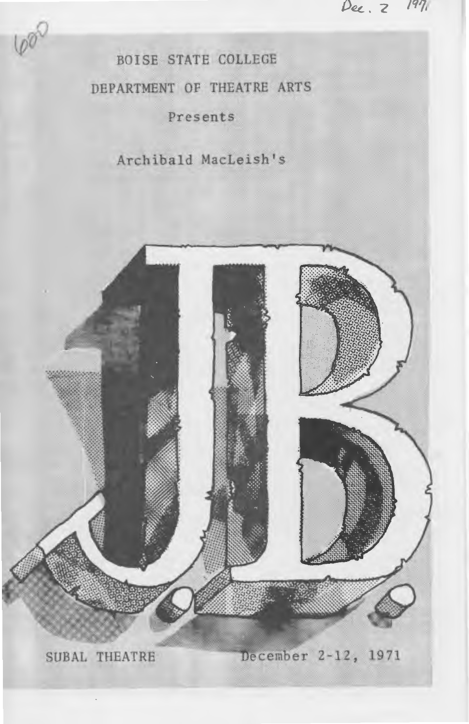Dec. 2 1971

BOISE STATE COLLEGE DEPARTMENT OF THEATRE ARTS Presents

600

Archibald MacLeish's

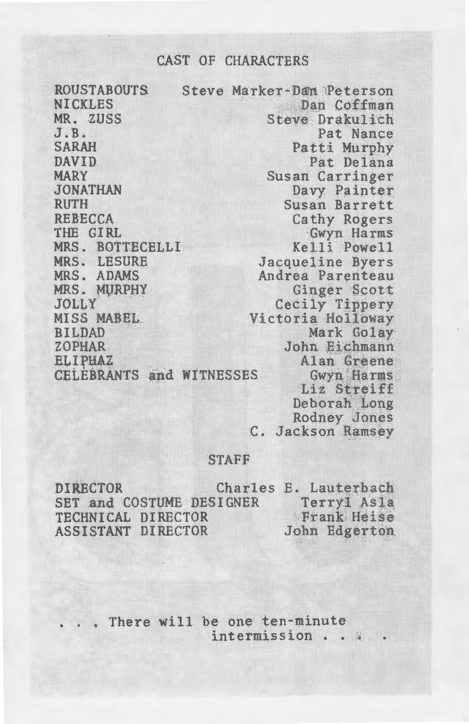## CAST OF CHARACTERS

ROUSTABOUTS **NICKLES** MR. ZUSS  $J$ . $B$ . SARAH DAVID MARY JONATHAN RUTH REBECCA THE GIRL MRS. BOTTECELLI MRS. LESURE MRS. ADAMS MRS. MURPHY JOLLY MISS MABEL, BILDAD ZOPHAR , Steve Marker-Dan Peterson Dan Coffman Steve Drakulich Pat Nance Patti Murphy Pat Delana Susan. Carringer Davy Painter Susan Barrett Cathy Rogers<br>
Gwyn Harms<br>
Kelli Powell<br>
Jacqueline Byers Andrea Parenteau Ginger Scott Cecily Tippery<br>Victoria Holloway<br>Mark Golay John Eichmann **ELIPHAZ** CELEBRANTS and WITNESSES Alan Greene<br>Gwyn Harms Liz Streiff Deborah Long

Rodney Jones c. Jackson Ramsey

## STAFF

DIRECTOR SET and COSTUME DESIGNER TECHNICAL DIRECTOR ASSISTANT DIRECTOR Charles E. Lauterbach Terryl Asla Frank Heise John Edgerton

> There will be one ten-minute intermission . . .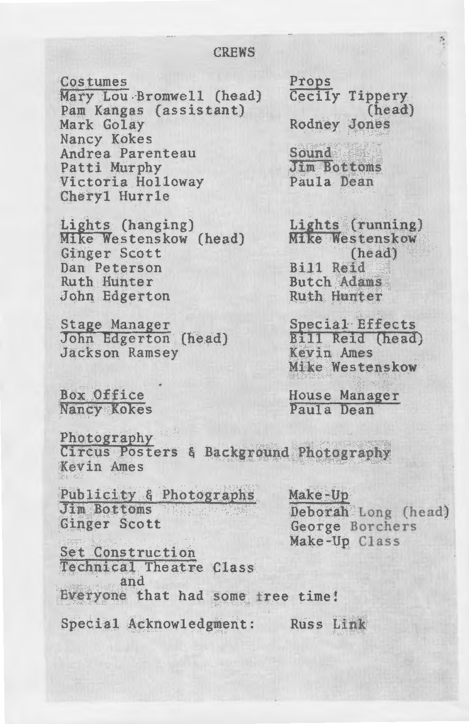#### **CREWS**

Costumes

Mary Lou Bromwell (head) Pam Kangas (assistant) Mark Golay Nancy Kokes Andrea Parenteau Patti Murphy Victoria Holloway Cheryl Hurrle

Lights (hanging) Mike Westenskow (head) Ginger Scott Dan Peterson Ruth Hunter John Edgerton

Stage Manager John Edgerton (head) Jackson Ramsey

Box Office Nancy Kokes

Props Cecily Tippery  $(head)$ **Rodney Jones** 

Sound Jim Bottoms Paula Dean

Lights (running) **Mike Westenskow** (head) **Bill Reid Butch Adams** Ruth Hunter

Special Effects Bill Reid (head) Kevin Ames **Mike Westenskow** 

House Manager Paula Dean

Photography Circus Posters & Background Photography Kevin Ames

Publicity & Photographs Jim Bottoms Ginger Scott

Make-Up Deborah Long (head) George Borchers Make-Up Class

Set Construction Technical Theatre Class and Everyone that had some free time!

Special Acknowledgment: Russ Link